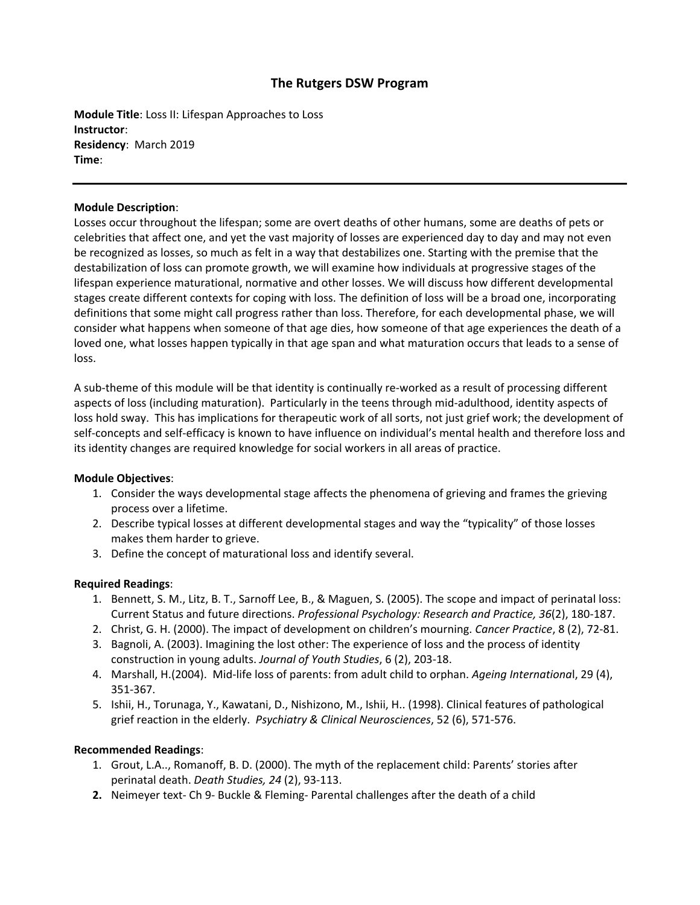# **The Rutgers DSW Program**

**Module Title**: Loss II: Lifespan Approaches to Loss **Instructor**: **Residency**: March 2019 **Time**:

#### **Module Description**:

Losses occur throughout the lifespan; some are overt deaths of other humans, some are deaths of pets or celebrities that affect one, and yet the vast majority of losses are experienced day to day and may not even be recognized as losses, so much as felt in a way that destabilizes one. Starting with the premise that the destabilization of loss can promote growth, we will examine how individuals at progressive stages of the lifespan experience maturational, normative and other losses. We will discuss how different developmental stages create different contexts for coping with loss. The definition of loss will be a broad one, incorporating definitions that some might call progress rather than loss. Therefore, for each developmental phase, we will consider what happens when someone of that age dies, how someone of that age experiences the death of a loved one, what losses happen typically in that age span and what maturation occurs that leads to a sense of loss.

A sub-theme of this module will be that identity is continually re-worked as a result of processing different aspects of loss (including maturation). Particularly in the teens through mid-adulthood, identity aspects of loss hold sway. This has implications for therapeutic work of all sorts, not just grief work; the development of self-concepts and self-efficacy is known to have influence on individual's mental health and therefore loss and its identity changes are required knowledge for social workers in all areas of practice.

### **Module Objectives**:

- 1. Consider the ways developmental stage affects the phenomena of grieving and frames the grieving process over a lifetime.
- 2. Describe typical losses at different developmental stages and way the "typicality" of those losses makes them harder to grieve.
- 3. Define the concept of maturational loss and identify several.

### **Required Readings**:

- 1. Bennett, S. M., Litz, B. T., Sarnoff Lee, B., & Maguen, S. (2005). The scope and impact of perinatal loss: Current Status and future directions. *Professional Psychology: Research and Practice, 36*(2), 180-187.
- 2. Christ, G. H. (2000). The impact of development on children's mourning. *Cancer Practice*, 8 (2), 72-81.
- 3. Bagnoli, A. (2003). Imagining the lost other: The experience of loss and the process of identity construction in young adults. *Journal of Youth Studies*, 6 (2), 203-18.
- 4. Marshall, H.(2004). Mid-life loss of parents: from adult child to orphan. *Ageing Internationa*l, 29 (4), 351-367.
- 5. Ishii, H., Torunaga, Y., Kawatani, D., Nishizono, M., Ishii, H.. (1998). Clinical features of pathological grief reaction in the elderly. *Psychiatry & Clinical Neurosciences*, 52 (6), 571-576.

### **Recommended Readings**:

- 1. Grout, L.A.., Romanoff, B. D. (2000). The myth of the replacement child: Parents' stories after perinatal death. *Death Studies, 24* (2), 93-113.
- **2.** Neimeyer text- Ch 9- Buckle & Fleming- Parental challenges after the death of a child